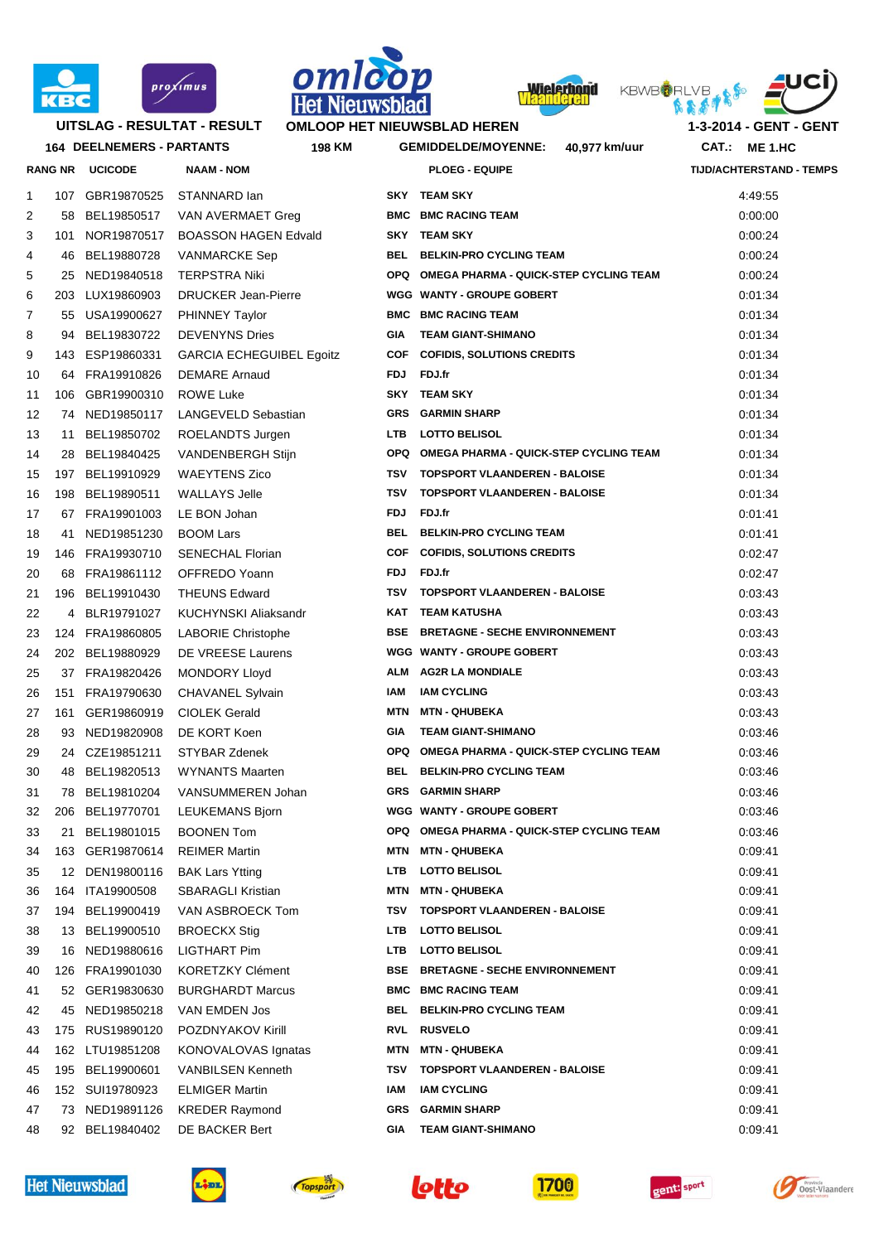









**1-3-2014 - GENT - GENT**

## **UITSLAG - RESULTAT - RESULT**

| <b>164 DEELNEMERS - PARTANTS</b> |      | 198 KM                 |                                 | <b>GEMIDDELDE/MOYENNE:</b><br>40,977 km/uur | CAT.:<br>ME 1.HC                           |                                 |
|----------------------------------|------|------------------------|---------------------------------|---------------------------------------------|--------------------------------------------|---------------------------------|
|                                  |      | <b>RANG NR UCICODE</b> | <b>NAAM - NOM</b>               |                                             | <b>PLOEG - EQUIPE</b>                      | <b>TIJD/ACHTERSTAND - TEMPS</b> |
| 1                                | 107  | GBR19870525            | STANNARD lan                    |                                             | SKY TEAM SKY                               | 4:49:55                         |
| 2                                | 58   | BEL19850517            | VAN AVERMAET Greg               | BMC                                         | <b>BMC RACING TEAM</b>                     | 0:00:00                         |
| 3                                | 101  | NOR19870517            | <b>BOASSON HAGEN Edvald</b>     |                                             | SKY TEAM SKY                               | 0:00:24                         |
| 4                                | 46   | BEL19880728            | VANMARCKE Sep                   | BEL                                         | <b>BELKIN-PRO CYCLING TEAM</b>             | 0:00:24                         |
| 5                                | 25   | NED19840518            | <b>TERPSTRA Niki</b>            |                                             | OPQ OMEGA PHARMA - QUICK-STEP CYCLING TEAM | 0:00:24                         |
| 6                                |      | 203 LUX19860903        | <b>DRUCKER Jean-Pierre</b>      |                                             | <b>WGG WANTY - GROUPE GOBERT</b>           | 0:01:34                         |
| 7                                | 55   | USA19900627            | PHINNEY Taylor                  |                                             | <b>BMC BMC RACING TEAM</b>                 | 0:01:34                         |
| 8                                | 94   | BEL19830722            | <b>DEVENYNS Dries</b>           | GIA                                         | <b>TEAM GIANT-SHIMANO</b>                  | 0:01:34                         |
| 9                                | 143  | ESP19860331            | <b>GARCIA ECHEGUIBEL Egoitz</b> |                                             | COF COFIDIS, SOLUTIONS CREDITS             | 0:01:34                         |
| 10                               | 64   | FRA19910826            | <b>DEMARE Arnaud</b>            | FDJ                                         | FDJ.fr                                     | 0:01:34                         |
| 11                               | 106  | GBR19900310            | <b>ROWE Luke</b>                | SKY                                         | <b>TEAM SKY</b>                            | 0:01:34                         |
| 12                               | 74   | NED19850117            | LANGEVELD Sebastian             | GRS                                         | <b>GARMIN SHARP</b>                        | 0:01:34                         |
| 13                               | 11   | BEL19850702            | <b>ROELANDTS Jurgen</b>         | <b>LTB</b>                                  | <b>LOTTO BELISOL</b>                       | 0.01.34                         |
| 14                               | 28   | BEL19840425            | <b>VANDENBERGH Stijn</b>        |                                             | OPQ OMEGA PHARMA - QUICK-STEP CYCLING TEAM | 0:01:34                         |
| 15                               | 197  | BEL19910929            | <b>WAEYTENS Zico</b>            | TSV                                         | <b>TOPSPORT VLAANDEREN - BALOISE</b>       | 0.01.34                         |
| 16                               | 198  | BEL19890511            | <b>WALLAYS Jelle</b>            | <b>TSV</b>                                  | TOPSPORT VLAANDEREN - BALOISE              | 0.01.34                         |
| 17                               | 67   | FRA19901003            | LE BON Johan                    | FDJ                                         | FDJ.fr                                     | 0.01:41                         |
| 18                               | 41   | NED19851230            | <b>BOOM Lars</b>                | BEL                                         | <b>BELKIN-PRO CYCLING TEAM</b>             | 0:01:41                         |
| 19                               | 146  | FRA19930710            | <b>SENECHAL Florian</b>         | COF                                         | <b>COFIDIS, SOLUTIONS CREDITS</b>          | 0:02:47                         |
| 20                               | 68   | FRA19861112            | OFFREDO Yoann                   | FDJ                                         | FDJ.fr                                     | 0:02:47                         |
| 21                               | 196  | BEL19910430            | <b>THEUNS Edward</b>            | TSV                                         | <b>TOPSPORT VLAANDEREN - BALOISE</b>       | 0:03:43                         |
| 22                               |      | 4 BLR19791027          | KUCHYNSKI Aliaksandr            | KAT                                         | <b>TEAM KATUSHA</b>                        | 0:03:43                         |
| 23                               |      | 124 FRA19860805        | <b>LABORIE Christophe</b>       |                                             | BSE BRETAGNE - SECHE ENVIRONNEMENT         | 0:03:43                         |
| 24                               | 202  | BEL19880929            | DE VREESE Laurens               |                                             | WGG WANTY - GROUPE GOBERT                  | 0:03:43                         |
| 25                               | 37   | FRA19820426            | <b>MONDORY Lloyd</b>            |                                             | ALM AG2R LA MONDIALE                       | 0:03:43                         |
| 26                               | 151  | FRA19790630            | CHAVANEL Sylvain                | IAM                                         | <b>IAM CYCLING</b>                         | 0:03:43                         |
| 27                               | 161  | GER19860919            | <b>CIOLEK Gerald</b>            | MTN                                         | <b>MTN - QHUBEKA</b>                       | 0:03:43                         |
| 28                               | 93   | NED19820908            | DE KORT Koen                    | GIA                                         | <b>TEAM GIANT-SHIMANO</b>                  | 0.03.46                         |
| 29                               | 24   | CZE19851211            | STYBAR Zdenek                   |                                             | OPQ OMEGA PHARMA - QUICK-STEP CYCLING TEAM | 0.03.46                         |
| 30                               | 48   | BEL19820513            | WYNANTS Maarten                 | BEL                                         | <b>BELKIN-PRO CYCLING TEAM</b>             | 0:03:46                         |
| 31                               | 78 - | BEL19810204            | VANSUMMEREN Johan               |                                             | <b>GRS</b> GARMIN SHARP                    | 0:03:46                         |
| 32                               | 206  | BEL19770701            | LEUKEMANS Bjorn                 |                                             | WGG WANTY - GROUPE GOBERT                  | 0:03:46                         |
| 33                               | 21   | BEL19801015            | <b>BOONEN Tom</b>               | OPQ                                         | OMEGA PHARMA - QUICK-STEP CYCLING TEAM     | 0:03:46                         |
| 34                               | 163  | GER19870614            | <b>REIMER Martin</b>            | MTN                                         | <b>MTN - QHUBEKA</b>                       | 0:09:41                         |
| 35                               | 12   | DEN19800116            | <b>BAK Lars Ytting</b>          | LTB                                         | <b>LOTTO BELISOL</b>                       | 0:09:41                         |
| 36                               | 164  | ITA19900508            | <b>SBARAGLI Kristian</b>        | MTN                                         | <b>MTN - QHUBEKA</b>                       | 0:09:41                         |
| 37                               | 194  | BEL19900419            | VAN ASBROECK Tom                | TSV                                         | <b>TOPSPORT VLAANDEREN - BALOISE</b>       | 0:09:41                         |
| 38                               |      | 13 BEL19900510         | <b>BROECKX Stig</b>             | LTB.                                        | <b>LOTTO BELISOL</b>                       | 0:09:41                         |
| 39                               | 16.  | NED19880616            | LIGTHART Pim                    | LTB                                         | <b>LOTTO BELISOL</b>                       | 0:09:41                         |
| 40                               | 126  | FRA19901030            | <b>KORETZKY Clément</b>         | BSE                                         | <b>BRETAGNE - SECHE ENVIRONNEMENT</b>      | 0:09:41                         |
| 41                               | 52   | GER19830630            | <b>BURGHARDT Marcus</b>         |                                             | <b>BMC BMC RACING TEAM</b>                 | 0:09:41                         |
| 42                               | 45   | NED19850218            | VAN EMDEN Jos                   | BEL                                         | <b>BELKIN-PRO CYCLING TEAM</b>             | 0:09:41                         |
| 43                               |      | 175 RUS19890120        | POZDNYAKOV Kirill               | <b>RVL</b>                                  | <b>RUSVELO</b>                             | 0:09:41                         |
| 44                               |      | 162 LTU19851208        | KONOVALOVAS Ignatas             | MTN                                         | <b>MTN - QHUBEKA</b>                       | 0:09:41                         |
| 45                               | 195  | BEL19900601            | <b>VANBILSEN Kenneth</b>        | TSV                                         | <b>TOPSPORT VLAANDEREN - BALOISE</b>       | 0:09:41                         |
| 46                               |      | 152 SUI19780923        | <b>ELMIGER Martin</b>           | IAM                                         | <b>IAM CYCLING</b>                         | 0:09:41                         |
| 47                               | 73.  | NED19891126            | <b>KREDER Raymond</b>           | GRS                                         | <b>GARMIN SHARP</b>                        | 0:09:41                         |
| 48                               |      | 92 BEL19840402         | DE BACKER Bert                  | GIA                                         | <b>TEAM GIANT-SHIMANO</b>                  | 0:09:41                         |
|                                  |      |                        |                                 |                                             |                                            |                                 |



Lidi









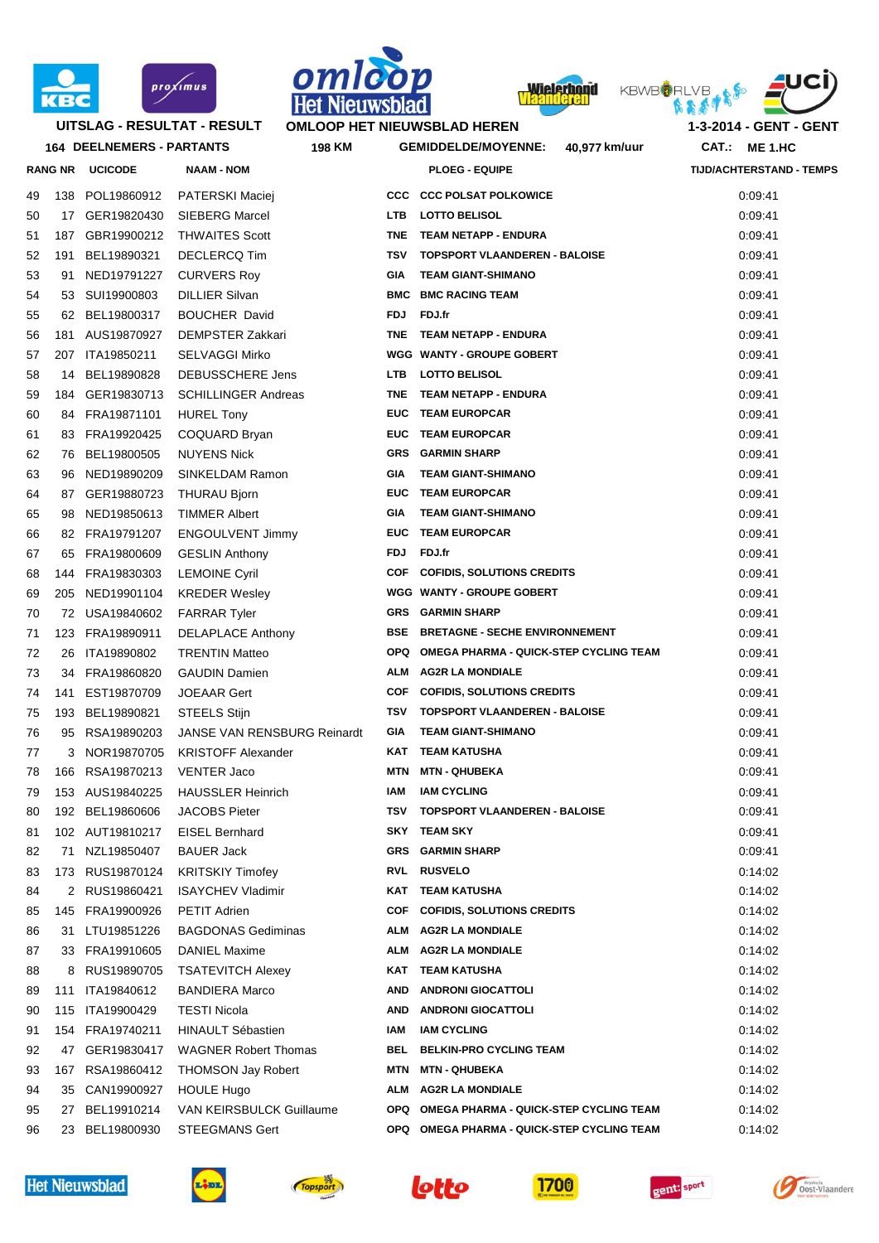









| UITSLAG - RESULTAT - RESULT<br><b>OMLOOP HET NIEUWSBLAD HEREN</b><br>1-3-2014 - GENT - GENT |                |                                  |                                    |            |                                               |                                 |
|---------------------------------------------------------------------------------------------|----------------|----------------------------------|------------------------------------|------------|-----------------------------------------------|---------------------------------|
|                                                                                             |                | <b>164 DEELNEMERS - PARTANTS</b> | <b>198 KM</b>                      |            | <b>GEMIDDELDE/MOYENNE:</b><br>40,977 km/uur   | CAT.: ME 1.HC                   |
|                                                                                             | <b>RANG NR</b> | <b>UCICODE</b>                   | <b>NAAM - NOM</b>                  |            | <b>PLOEG - EQUIPE</b>                         | <b>TIJD/ACHTERSTAND - TEMPS</b> |
| 49                                                                                          |                | 138 POL19860912                  | <b>PATERSKI Maciej</b>             |            | <b>CCC CCC POLSAT POLKOWICE</b>               | 0:09:41                         |
| 50                                                                                          |                | 17 GER19820430                   | <b>SIEBERG Marcel</b>              | LTB.       | <b>LOTTO BELISOL</b>                          | 0:09:41                         |
| 51                                                                                          |                | 187 GBR19900212                  | <b>THWAITES Scott</b>              | <b>TNE</b> | TEAM NETAPP - ENDURA                          | 0:09:41                         |
| 52                                                                                          | 191            | BEL19890321                      | <b>DECLERCQ Tim</b>                | TSV        | <b>TOPSPORT VLAANDEREN - BALOISE</b>          | 0:09:41                         |
| 53                                                                                          | 91             | NED19791227                      | <b>CURVERS Roy</b>                 | GIA        | <b>TEAM GIANT-SHIMANO</b>                     | 0:09:41                         |
| 54                                                                                          |                | 53 SUI19900803                   | <b>DILLIER Silvan</b>              |            | <b>BMC BMC RACING TEAM</b>                    | 0:09:41                         |
| 55                                                                                          |                | 62 BEL19800317                   | <b>BOUCHER David</b>               | <b>FDJ</b> | FDJ.fr                                        | 0:09:41                         |
| 56                                                                                          |                | 181 AUS19870927                  | <b>DEMPSTER Zakkari</b>            | <b>TNE</b> | <b>TEAM NETAPP - ENDURA</b>                   | 0:09:41                         |
| 57                                                                                          |                | 207 ITA19850211                  | <b>SELVAGGI Mirko</b>              |            | <b>WGG WANTY - GROUPE GOBERT</b>              | 0:09:41                         |
| 58                                                                                          |                | 14 BEL19890828                   | DEBUSSCHERE Jens                   | LTB.       | <b>LOTTO BELISOL</b>                          | 0:09:41                         |
| 59                                                                                          |                | 184 GER19830713                  | <b>SCHILLINGER Andreas</b>         | <b>TNE</b> | TEAM NETAPP - ENDURA                          | 0:09:41                         |
| 60                                                                                          |                | 84 FRA19871101                   | <b>HUREL Tony</b>                  |            | EUC TEAM EUROPCAR                             | 0:09:41                         |
| 61                                                                                          |                | 83 FRA19920425                   | COQUARD Bryan                      |            | EUC TEAM EUROPCAR                             | 0:09:41                         |
| 62                                                                                          |                | 76 BEL19800505                   | <b>NUYENS Nick</b>                 |            | <b>GRS</b> GARMIN SHARP                       | 0:09:41                         |
| 63                                                                                          |                | 96 NED19890209                   | SINKELDAM Ramon                    | GIA        | <b>TEAM GIANT-SHIMANO</b>                     | 0:09:41                         |
| 64                                                                                          |                | 87 GER19880723                   | THURAU Bjorn                       | <b>EUC</b> | <b>TEAM EUROPCAR</b>                          | 0:09:41                         |
| 65                                                                                          |                | 98 NED19850613                   | <b>TIMMER Albert</b>               | GIA        | <b>TEAM GIANT-SHIMANO</b>                     | 0:09:41                         |
| 66                                                                                          |                | 82 FRA19791207                   | <b>ENGOULVENT Jimmy</b>            |            | <b>EUC TEAM EUROPCAR</b>                      | 0:09:41                         |
| 67                                                                                          |                | 65 FRA19800609                   | <b>GESLIN Anthony</b>              | <b>FDJ</b> | FDJ.fr                                        | 0:09:41                         |
| 68                                                                                          |                | 144 FRA19830303                  | <b>LEMOINE Cyril</b>               | COF        | <b>COFIDIS, SOLUTIONS CREDITS</b>             | 0:09:41                         |
| 69                                                                                          |                | 205 NED19901104                  | <b>KREDER Wesley</b>               |            | <b>WGG WANTY - GROUPE GOBERT</b>              | 0:09:41                         |
| 70                                                                                          | 72             | USA19840602                      | <b>FARRAR Tyler</b>                | <b>GRS</b> | <b>GARMIN SHARP</b>                           | 0:09:41                         |
| 71                                                                                          |                | 123 FRA19890911                  | <b>DELAPLACE Anthony</b>           | BSE        | <b>BRETAGNE - SECHE ENVIRONNEMENT</b>         | 0:09:41                         |
| 72                                                                                          |                | 26 ITA19890802                   | <b>TRENTIN Matteo</b>              | <b>OPQ</b> | <b>OMEGA PHARMA - QUICK-STEP CYCLING TEAM</b> | 0:09:41                         |
| 73                                                                                          |                | 34 FRA19860820                   | <b>GAUDIN Damien</b>               | ALM        | <b>AG2R LA MONDIALE</b>                       | 0:09:41                         |
| 74                                                                                          |                | 141 EST19870709                  | <b>JOEAAR Gert</b>                 | <b>COF</b> | <b>COFIDIS, SOLUTIONS CREDITS</b>             | 0:09:41                         |
| 75                                                                                          |                | 193 BEL19890821                  | <b>STEELS Stijn</b>                | <b>TSV</b> | <b>TOPSPORT VLAANDEREN - BALOISE</b>          | 0:09:41                         |
| 76                                                                                          |                | 95 RSA19890203                   | <b>JANSE VAN RENSBURG Reinardt</b> | GIA        | <b>TEAM GIANT-SHIMANO</b>                     | 0:09:41                         |
| 77                                                                                          | 3              | NOR19870705                      | <b>KRISTOFF Alexander</b>          | KAT        | <b>TEAM KATUSHA</b>                           | 0:09:41                         |
| 78                                                                                          |                | 166 RSA19870213                  | <b>VENTER Jaco</b>                 | MTN        | <b>MTN - QHUBEKA</b>                          | 0:09:41                         |
| 79                                                                                          |                | 153 AUS19840225                  | <b>HAUSSLER Heinrich</b>           | IAM        | <b>IAM CYCLING</b>                            | 0:09:41                         |
| 80                                                                                          |                | 192 BEL19860606                  | <b>JACOBS Pieter</b>               | TSV        | <b>TOPSPORT VLAANDEREN - BALOISE</b>          | 0:09:41                         |
| 81                                                                                          |                | 102 AUT19810217                  | <b>EISEL Bernhard</b>              | SKY        | <b>TEAM SKY</b>                               | 0:09:41                         |
| 82                                                                                          | 71             | NZL19850407                      | <b>BAUER Jack</b>                  | <b>GRS</b> | <b>GARMIN SHARP</b>                           | 0:09:41                         |
| 83                                                                                          |                | 173 RUS19870124                  | <b>KRITSKIY Timofey</b>            | <b>RVL</b> | <b>RUSVELO</b>                                | 0:14:02                         |
| 84                                                                                          |                | 2 RUS19860421                    | <b>ISAYCHEV Vladimir</b>           | KAT        | <b>TEAM KATUSHA</b>                           | 0:14:02                         |
| 85                                                                                          |                | 145 FRA19900926                  | <b>PETIT Adrien</b>                | <b>COF</b> | <b>COFIDIS, SOLUTIONS CREDITS</b>             | 0:14:02                         |
| 86                                                                                          | 31             | LTU19851226                      | <b>BAGDONAS Gediminas</b>          | ALM        | <b>AG2R LA MONDIALE</b>                       | 0:14:02                         |
| 87                                                                                          |                | 33 FRA19910605                   | <b>DANIEL Maxime</b>               | ALM        | <b>AG2R LA MONDIALE</b>                       | 0:14:02                         |
| 88                                                                                          |                | 8 RUS19890705                    | <b>TSATEVITCH Alexey</b>           | KAT        | <b>TEAM KATUSHA</b>                           | 0:14:02                         |
| 89                                                                                          | 111            | ITA19840612                      | <b>BANDIERA Marco</b>              | AND        | <b>ANDRONI GIOCATTOLI</b>                     | 0:14:02                         |
| 90                                                                                          | 115            | ITA19900429                      | <b>TESTI Nicola</b>                | AND        | <b>ANDRONI GIOCATTOLI</b>                     | 0:14:02                         |
| 91                                                                                          |                | 154 FRA19740211                  | <b>HINAULT Sébastien</b>           | IAM        | <b>IAM CYCLING</b>                            | 0:14:02                         |
| 92                                                                                          | 47             | GER19830417                      | <b>WAGNER Robert Thomas</b>        | BEL        | <b>BELKIN-PRO CYCLING TEAM</b>                | 0:14:02                         |
| 93                                                                                          | 167            | RSA19860412                      | <b>THOMSON Jay Robert</b>          | MTN        | <b>MTN - QHUBEKA</b>                          | 0:14:02                         |
| 94                                                                                          | 35             | CAN19900927                      | <b>HOULE Hugo</b>                  | ALM        | <b>AG2R LA MONDIALE</b>                       | 0:14:02                         |
| 95                                                                                          |                | 27 BEL19910214                   | VAN KEIRSBULCK Guillaume           | OPQ        | <b>OMEGA PHARMA - QUICK-STEP CYCLING TEAM</b> | 0:14:02                         |
| 96                                                                                          |                | 23 BEL19800930                   | <b>STEEGMANS Gert</b>              | OPQ        | <b>OMEGA PHARMA - QUICK-STEP CYCLING TEAM</b> | 0:14:02                         |



**LiDL**